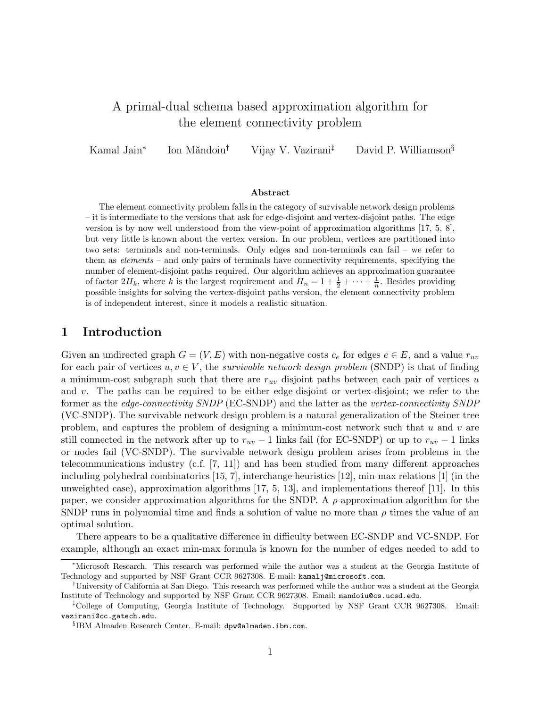## A primal-dual schema based approximation algorithm for the element connectivity problem

Kamal Jain<sup>∗</sup> Ion Măndoiu<sup>†</sup> Vijay V. Vazirani<sup>‡</sup> David P. Williamson<sup>§</sup>

#### **Abstract**

The element connectivity problem falls in the category of survivable network design problems – it is intermediate to the versions that ask for edge-disjoint and vertex-disjoint paths. The edge version is by now well understood from the view-point of approximation algorithms [17, 5, 8], but very little is known about the vertex version. In our problem, vertices are partitioned into two sets: terminals and non-terminals. Only edges and non-terminals can fail – we refer to them as *elements* – and only pairs of terminals have connectivity requirements, specifying the number of element-disjoint paths required. Our algorithm achieves an approximation guarantee of factor  $2H_k$ , where k is the largest requirement and  $H_n = 1 + \frac{1}{2} + \cdots + \frac{1}{n}$ . Besides providing possible insights for solving the vertex-disjoint paths version, the element connectivity problem is of independent interest, since it models a realistic situation.

### **1 Introduction**

Given an undirected graph  $G = (V, E)$  with non-negative costs  $c_e$  for edges  $e \in E$ , and a value  $r_{uv}$ for each pair of vertices  $u, v \in V$ , the *survivable network design problem* (SNDP) is that of finding a minimum-cost subgraph such that there are  $r_{uv}$  disjoint paths between each pair of vertices u and  $v$ . The paths can be required to be either edge-disjoint or vertex-disjoint; we refer to the former as the *edge-connectivity SNDP* (EC-SNDP) and the latter as the *vertex-connectivity SNDP* (VC-SNDP). The survivable network design problem is a natural generalization of the Steiner tree problem, and captures the problem of designing a minimum-cost network such that u and v are still connected in the network after up to  $r_{uv} - 1$  links fail (for EC-SNDP) or up to  $r_{uv} - 1$  links or nodes fail (VC-SNDP). The survivable network design problem arises from problems in the telecommunications industry (c.f. [7, 11]) and has been studied from many different approaches including polyhedral combinatorics [15, 7], interchange heuristics [12], min-max relations [1] (in the unweighted case), approximation algorithms [17, 5, 13], and implementations thereof [11]. In this paper, we consider approximation algorithms for the SNDP. A  $\rho$ -approximation algorithm for the SNDP runs in polynomial time and finds a solution of value no more than  $\rho$  times the value of an optimal solution.

There appears to be a qualitative difference in difficulty between EC-SNDP and VC-SNDP. For example, although an exact min-max formula is known for the number of edges needed to add to

<sup>∗</sup>Microsoft Research. This research was performed while the author was a student at the Georgia Institute of Technology and supported by NSF Grant CCR 9627308. E-mail: kamalj@microsoft.com.

<sup>†</sup>University of California at San Diego. This research was performed while the author was a student at the Georgia Institute of Technology and supported by NSF Grant CCR 9627308. Email: mandoiu@cs.ucsd.edu.

<sup>‡</sup>College of Computing, Georgia Institute of Technology. Supported by NSF Grant CCR 9627308. Email: vazirani@cc.gatech.edu.

<sup>§</sup>IBM Almaden Research Center. E-mail: dpw@almaden.ibm.com.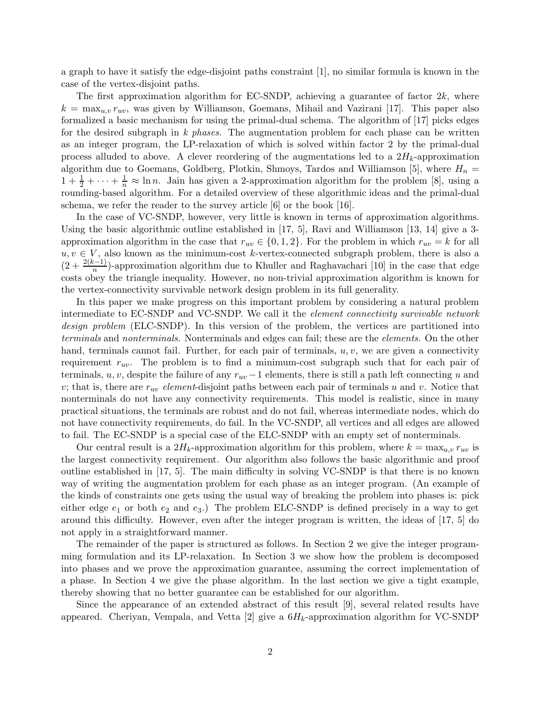a graph to have it satisfy the edge-disjoint paths constraint [1], no similar formula is known in the case of the vertex-disjoint paths.

The first approximation algorithm for EC-SNDP, achieving a guarantee of factor  $2k$ , where  $k = \max_{u,v} r_{uv}$ , was given by Williamson, Goemans, Mihail and Vazirani [17]. This paper also formalized a basic mechanism for using the primal-dual schema. The algorithm of [17] picks edges for the desired subgraph in *k phases*. The augmentation problem for each phase can be written as an integer program, the LP-relaxation of which is solved within factor 2 by the primal-dual process alluded to above. A clever reordering of the augmentations led to a  $2H_k$ -approximation algorithm due to Goemans, Goldberg, Plotkin, Shmoys, Tardos and Williamson [5], where  $H_n =$  $1 + \frac{1}{2} + \cdots + \frac{1}{n} \approx \ln n$ . Jain has given a 2-approximation algorithm for the problem [8], using a rounding-based algorithm. For a detailed overview of these algorithmic ideas and the primal-dual schema, we refer the reader to the survey article [6] or the book [16].

In the case of VC-SNDP, however, very little is known in terms of approximation algorithms. Using the basic algorithmic outline established in [17, 5], Ravi and Williamson [13, 14] give a 3 approximation algorithm in the case that  $r_{uv} \in \{0, 1, 2\}$ . For the problem in which  $r_{uv} = k$  for all  $u, v \in V$ , also known as the minimum-cost k-vertex-connected subgraph problem, there is also a  $(2 + \frac{2(k-1)}{n})$ -approximation algorithm due to Khuller and Raghavachari [10] in the case that edge costs obey the triangle inequality. However, no non-trivial approximation algorithm is known for the vertex-connectivity survivable network design problem in its full generality.

In this paper we make progress on this important problem by considering a natural problem intermediate to EC-SNDP and VC-SNDP. We call it the *element connectivity survivable network design problem* (ELC-SNDP). In this version of the problem, the vertices are partitioned into *terminals* and *nonterminals*. Nonterminals and edges can fail; these are the *elements*. On the other hand, terminals cannot fail. Further, for each pair of terminals,  $u, v$ , we are given a connectivity requirement  $r_{uv}$ . The problem is to find a minimum-cost subgraph such that for each pair of terminals, u, v, despite the failure of any  $r_{uv} - 1$  elements, there is still a path left connecting u and  $v$ ; that is, there are  $r_{uv}$  *element*-disjoint paths between each pair of terminals u and v. Notice that nonterminals do not have any connectivity requirements. This model is realistic, since in many practical situations, the terminals are robust and do not fail, whereas intermediate nodes, which do not have connectivity requirements, do fail. In the VC-SNDP, all vertices and all edges are allowed to fail. The EC-SNDP is a special case of the ELC-SNDP with an empty set of nonterminals.

Our central result is a  $2H_k$ -approximation algorithm for this problem, where  $k = \max_{u,v} r_{uv}$  is the largest connectivity requirement. Our algorithm also follows the basic algorithmic and proof outline established in [17, 5]. The main difficulty in solving VC-SNDP is that there is no known way of writing the augmentation problem for each phase as an integer program. (An example of the kinds of constraints one gets using the usual way of breaking the problem into phases is: pick either edge  $e_1$  or both  $e_2$  and  $e_3$ .) The problem ELC-SNDP is defined precisely in a way to get around this difficulty. However, even after the integer program is written, the ideas of [17, 5] do not apply in a straightforward manner.

The remainder of the paper is structured as follows. In Section 2 we give the integer programming formulation and its LP-relaxation. In Section 3 we show how the problem is decomposed into phases and we prove the approximation guarantee, assuming the correct implementation of a phase. In Section 4 we give the phase algorithm. In the last section we give a tight example, thereby showing that no better guarantee can be established for our algorithm.

Since the appearance of an extended abstract of this result [9], several related results have appeared. Cheriyan, Vempala, and Vetta [2] give a  $6H_k$ -approximation algorithm for VC-SNDP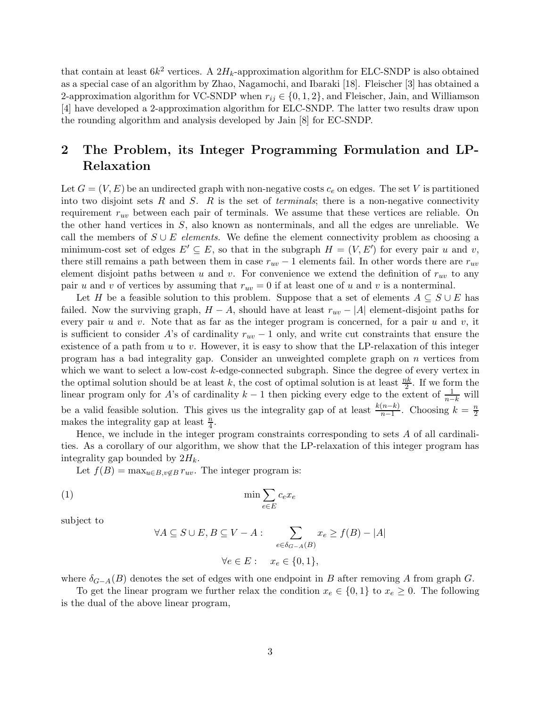that contain at least  $6k^2$  vertices. A  $2H_k$ -approximation algorithm for ELC-SNDP is also obtained as a special case of an algorithm by Zhao, Nagamochi, and Ibaraki [18]. Fleischer [3] has obtained a 2-approximation algorithm for VC-SNDP when  $r_{ij} \in \{0, 1, 2\}$ , and Fleischer, Jain, and Williamson [4] have developed a 2-approximation algorithm for ELC-SNDP. The latter two results draw upon the rounding algorithm and analysis developed by Jain [8] for EC-SNDP.

# **2 The Problem, its Integer Programming Formulation and LP-Relaxation**

Let  $G = (V, E)$  be an undirected graph with non-negative costs  $c_e$  on edges. The set V is partitioned into two disjoint sets R and S. R is the set of *terminals*; there is a non-negative connectivity requirement  $r_{uv}$  between each pair of terminals. We assume that these vertices are reliable. On the other hand vertices in  $S$ , also known as nonterminals, and all the edges are unreliable. We call the members of S ∪ E *elements*. We define the element connectivity problem as choosing a minimum-cost set of edges  $E' \subseteq E$ , so that in the subgraph  $H = (V, E')$  for every pair u and v, there still remains a path between them in case  $r_{uv}$  − 1 elements fail. In other words there are  $r_{uv}$ element disjoint paths between u and v. For convenience we extend the definition of  $r_{uv}$  to any pair u and v of vertices by assuming that  $r_{uv} = 0$  if at least one of u and v is a nonterminal.

Let H be a feasible solution to this problem. Suppose that a set of elements  $A \subseteq S \cup E$  has failed. Now the surviving graph,  $H - A$ , should have at least  $r_{uv} - |A|$  element-disjoint paths for every pair u and v. Note that as far as the integer program is concerned, for a pair u and v, it is sufficient to consider A's of cardinality  $r_{uv} - 1$  only, and write cut constraints that ensure the existence of a path from  $u$  to  $v$ . However, it is easy to show that the LP-relaxation of this integer program has a bad integrality gap. Consider an unweighted complete graph on n vertices from which we want to select a low-cost  $k$ -edge-connected subgraph. Since the degree of every vertex in the optimal solution should be at least  $\overline{k}$ , the cost of optimal solution is at least  $\frac{nk}{2}$ . If we form the linear program only for A's of cardinality  $k-1$  then picking every edge to the extent of  $\frac{1}{n-k}$  will be a valid feasible solution. This gives us the integrality gap of at least  $\frac{k(n-k)}{n-1}$ . Choosing  $k = \frac{n}{2}$ makes the integrality gap at least  $\frac{n}{4}$ .

Hence, we include in the integer program constraints corresponding to sets A of all cardinalities. As a corollary of our algorithm, we show that the LP-relaxation of this integer program has integrality gap bounded by  $2H_k$ .

Let  $f(B) = \max_{u \in B, v \notin B} r_{uv}$ . The integer program is:

$$
\min \sum_{e \in E} c_e x_e
$$

subject to

$$
\forall A \subseteq S \cup E, B \subseteq V - A: \sum_{e \in \delta_{G-A}(B)} x_e \ge f(B) - |A|
$$

$$
\forall e \in E: x_e \in \{0, 1\},\
$$

where  $\delta_{G-A}(B)$  denotes the set of edges with one endpoint in B after removing A from graph G.

To get the linear program we further relax the condition  $x_e \in \{0,1\}$  to  $x_e \geq 0$ . The following is the dual of the above linear program,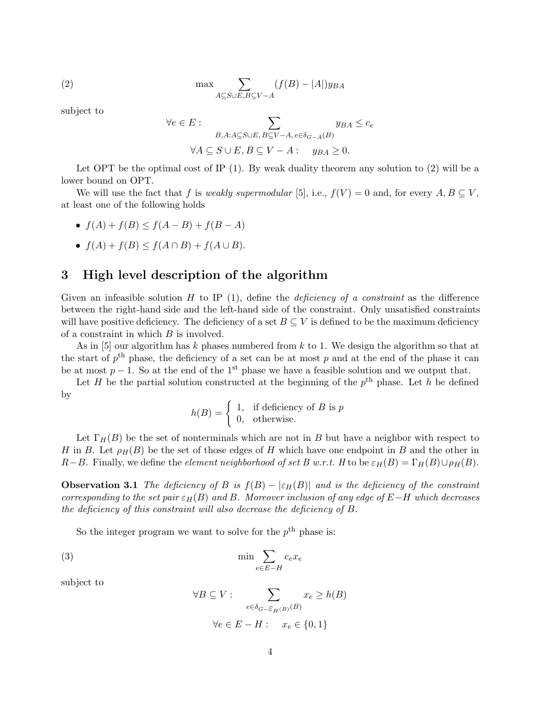(2) 
$$
\max \sum_{A \subseteq S \cup E, B \subseteq V - A} (f(B) - |A|) y_{BA}
$$

subject to

$$
\forall e \in E: \sum_{B, A: A \subseteq S \cup E, B \subseteq V - A, e \in \delta_{G - A}(B)} y_{BA} \le c_e
$$
  

$$
\forall A \subseteq S \cup E, B \subseteq V - A: y_{BA} \ge 0.
$$

Let OPT be the optimal cost of IP  $(1)$ . By weak duality theorem any solution to  $(2)$  will be a lower bound on OPT.

We will use the fact that f is *weakly supermodular* [5], i.e.,  $f(V) = 0$  and, for every  $A, B \subseteq V$ , at least one of the following holds

•  $f(A) + f(B) \le f(A - B) + f(B - A)$ 

• 
$$
f(A) + f(B) \le f(A \cap B) + f(A \cup B).
$$

## **3 High level description of the algorithm**

Given an infeasible solution H to IP (1), define the *deficiency of a constraint* as the difference between the right-hand side and the left-hand side of the constraint. Only unsatisfied constraints will have positive deficiency. The deficiency of a set  $B \subseteq V$  is defined to be the maximum deficiency of a constraint in which  $B$  is involved.

As in [5] our algorithm has k phases numbered from k to 1. We design the algorithm so that at the start of  $p<sup>th</sup>$  phase, the deficiency of a set can be at most p and at the end of the phase it can be at most  $p-1$ . So at the end of the 1<sup>st</sup> phase we have a feasible solution and we output that.

Let H be the partial solution constructed at the beginning of the  $p<sup>th</sup>$  phase. Let h be defined by

$$
h(B) = \begin{cases} 1, & \text{if deficiency of } B \text{ is } p \\ 0, & \text{otherwise.} \end{cases}
$$

Let  $\Gamma_H(B)$  be the set of nonterminals which are not in B but have a neighbor with respect to H in B. Let  $\rho_H(B)$  be the set of those edges of H which have one endpoint in B and the other in  $R-B$ . Finally, we define the *element neighborhood of set B w.r.t.* H to be  $\varepsilon_H(B)=\Gamma_H(B)\cup \rho_H(B)$ .

**Observation 3.1** *The deficiency of* B *is*  $f(B) - |\varepsilon_H(B)|$  *and is the deficiency of the constraint*  $corresponding to the set pair  $\varepsilon_H(B)$  and B. Moreover inclusion of any edge of E-H which decreases$ *the deficiency of this constraint will also decrease the deficiency of* B*.*

So the integer program we want to solve for the  $p<sup>th</sup>$  phase is:

$$
\min \sum_{e \in E - H} c_e x_e
$$

subject to

$$
\forall B \subseteq V: \sum_{e \in \delta_{G - \mathcal{E}_H(B)}(B)} x_e \ge h(B)
$$

$$
\forall e \in E - H: x_e \in \{0, 1\}
$$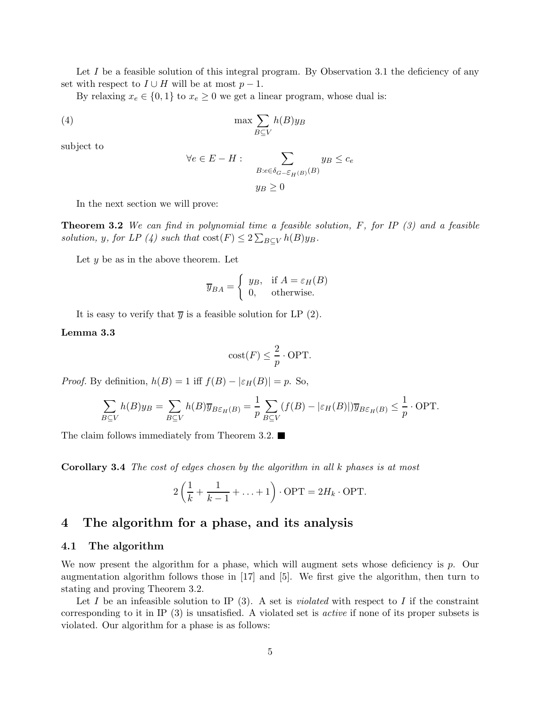Let  $I$  be a feasible solution of this integral program. By Observation 3.1 the deficiency of any set with respect to  $I \cup H$  will be at most  $p - 1$ .

By relaxing  $x_e \in \{0, 1\}$  to  $x_e \geq 0$  we get a linear program, whose dual is:

(4) 
$$
\max \sum_{B \subseteq V} h(B)y_B
$$

subject to

$$
\forall e \in E - H: \sum_{B: e \in \delta_{G - \mathcal{E}_H(B)}(B)} y_B \le c_e
$$
  

$$
y_B \ge 0
$$

In the next section we will prove:

**Theorem 3.2** *We can find in polynomial time a feasible solution,* F*, for IP (3) and a feasible solution,* y, for LP (4) such that  $cost(F) \leq 2 \sum_{B \subseteq V} h(B)y_B$ .

Let  $y$  be as in the above theorem. Let

$$
\overline{y}_{BA} = \begin{cases} y_B, & \text{if } A = \varepsilon_H(B) \\ 0, & \text{otherwise.} \end{cases}
$$

It is easy to verify that  $\overline{y}$  is a feasible solution for LP (2).

#### **Lemma 3.3**

$$
cost(F) \le \frac{2}{p} \cdot OPT.
$$

*Proof.* By definition,  $h(B) = 1$  iff  $f(B) - |\varepsilon_H(B)| = p$ . So,

$$
\sum_{B \subseteq V} h(B)y_B = \sum_{B \subseteq V} h(B)\overline{y}_{B\mathcal{E}_H(B)} = \frac{1}{p} \sum_{B \subseteq V} (f(B) - |\varepsilon_H(B)|) \overline{y}_{B\mathcal{E}_H(B)} \le \frac{1}{p} \cdot \text{OPT}.
$$

The claim follows immediately from Theorem 3.2.

**Corollary 3.4** *The cost of edges chosen by the algorithm in all* k *phases is at most*

$$
2\left(\frac{1}{k} + \frac{1}{k-1} + \ldots + 1\right) \cdot \text{OPT} = 2H_k \cdot \text{OPT}.
$$

## **4 The algorithm for a phase, and its analysis**

#### **4.1 The algorithm**

We now present the algorithm for a phase, which will augment sets whose deficiency is  $p$ . Our augmentation algorithm follows those in [17] and [5]. We first give the algorithm, then turn to stating and proving Theorem 3.2.

Let I be an infeasible solution to IP  $(3)$ . A set is *violated* with respect to I if the constraint corresponding to it in IP (3) is unsatisfied. A violated set is *active* if none of its proper subsets is violated. Our algorithm for a phase is as follows: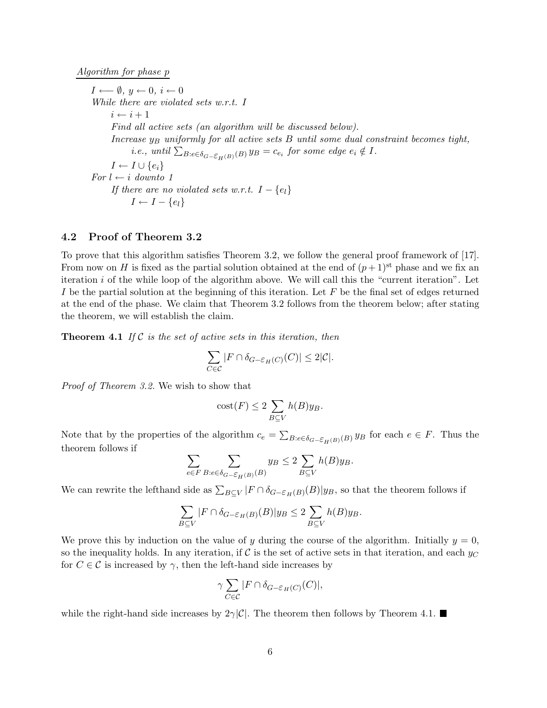I ←−∅*,* y ← 0*,* i ← 0 *While there are violated sets w.r.t.* I  $i \leftarrow i + 1$ *Find all active sets (an algorithm will be discussed below).* Increase y<sub>B</sub> uniformly for all active sets B until some dual constraint becomes tight, *i.e.*, until  $\sum_{B: e \in \delta_{G - \mathcal{E}_H(B)}(B)} y_B = c_{e_i}$  for some edge  $e_i \notin I$ .  $I \leftarrow I \cup \{e_i\}$  $For l \leftarrow i \ down to \ 1$ *If there are no violated sets w.r.t.*  $I - \{e_l\}$  $I \leftarrow I - \{e_l\}$ 

#### **4.2 Proof of Theorem 3.2**

To prove that this algorithm satisfies Theorem 3.2, we follow the general proof framework of [17]. From now on H is fixed as the partial solution obtained at the end of  $(p+1)$ <sup>st</sup> phase and we fix an iteration  $i$  of the while loop of the algorithm above. We will call this the "current iteration". Let I be the partial solution at the beginning of this iteration. Let  $F$  be the final set of edges returned at the end of the phase. We claim that Theorem 3.2 follows from the theorem below; after stating the theorem, we will establish the claim.

**Theorem 4.1** *If* C *is the set of active sets in this iteration, then*

$$
\sum_{C \in \mathcal{C}} |F \cap \delta_{G - \varepsilon_H(C)}(C)| \le 2|\mathcal{C}|.
$$

*Proof of Theorem 3.2.* We wish to show that

$$
cost(F) \le 2 \sum_{B \subseteq V} h(B)y_B.
$$

Note that by the properties of the algorithm  $c_e = \sum_{B: e \in \delta_{G-\mathcal{E}_H(B)}(B)} y_B$  for each  $e \in F$ . Thus the theorem follows if

$$
\sum_{e \in F} \sum_{B: e \in \delta_{G - \mathcal{E}_H(B)}(B)} y_B \le 2 \sum_{B \subseteq V} h(B)y_B.
$$

We can rewrite the lefthand side as  $\sum_{B \subseteq V} |F \cap \delta_{G-\varepsilon_H(B)}(B)|y_B$ , so that the theorem follows if

$$
\sum_{B \subseteq V} |F \cap \delta_{G - \varepsilon_H(B)}(B)|y_B \le 2 \sum_{B \subseteq V} h(B)y_B.
$$

We prove this by induction on the value of y during the course of the algorithm. Initially  $y = 0$ , so the inequality holds. In any iteration, if C is the set of active sets in that iteration, and each  $y_C$ for  $C \in \mathcal{C}$  is increased by  $\gamma$ , then the left-hand side increases by

$$
\gamma \sum_{C \in \mathcal{C}} |F \cap \delta_{G - \varepsilon_H(C)}(C)|,
$$

while the right-hand side increases by  $2\gamma|\mathcal{C}|$ . The theorem then follows by Theorem 4.1.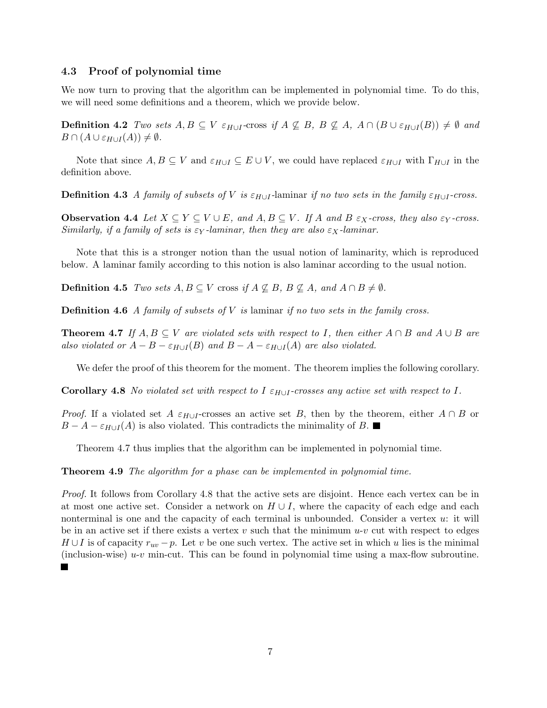#### **4.3 Proof of polynomial time**

We now turn to proving that the algorithm can be implemented in polynomial time. To do this, we will need some definitions and a theorem, which we provide below.

**Definition 4.2** *Two sets*  $A, B \subseteq V$   $\varepsilon_{H \cup I}$ -cross *if*  $A \nsubseteq B$ ,  $B \nsubseteq A$ ,  $A \cap (B \cup \varepsilon_{H \cup I}(B)) \neq \emptyset$  *and*  $B \cap (A \cup \varepsilon_{H \cup I}(A)) \neq \emptyset$ .

Note that since  $A, B \subseteq V$  and  $\varepsilon_{H \cup I} \subseteq E \cup V$ , we could have replaced  $\varepsilon_{H \cup I}$  with  $\Gamma_{H \cup I}$  in the definition above.

**Definition 4.3** *A family of subsets of* V *is*  $\varepsilon_{H\cup I}$ -laminar *if no two sets in the family*  $\varepsilon_{H\cup I}$ -cross.

**Observation 4.4** *Let*  $X \subseteq Y \subseteq V \cup E$ *, and*  $A, B \subseteq V$ *. If* A *and* B  $\varepsilon_X$ -cross, they also  $\varepsilon_Y$ -cross. *Similarly, if a family of sets is*  $\varepsilon_Y$ *-laminar, then they are also*  $\varepsilon_X$ *-laminar.* 

Note that this is a stronger notion than the usual notion of laminarity, which is reproduced below. A laminar family according to this notion is also laminar according to the usual notion.

**Definition 4.5** *Two sets*  $A, B \subseteq V$  cross *if*  $A \nsubseteq B$ ,  $B \nsubseteq A$ *, and*  $A \cap B \neq \emptyset$ *.* 

**Definition 4.6** *A family of subsets of* V *is* laminar *if no two sets in the family cross.*

**Theorem 4.7** *If*  $A, B \subseteq V$  *are violated sets with respect to I, then either*  $A \cap B$  *and*  $A \cup B$  *are also violated or*  $A - B - \varepsilon_{H \cup I}(B)$  *and*  $B - A - \varepsilon_{H \cup I}(A)$  *are also violated.* 

We defer the proof of this theorem for the moment. The theorem implies the following corollary.

**Corollary 4.8** *No violated set with respect to* I  $\varepsilon_{H \cup I}$ -crosses any active set with respect to I.

*Proof.* If a violated set A  $\varepsilon_{H\cup I}$ -crosses an active set B, then by the theorem, either A ∩ B or  $B - A - \varepsilon_{H \cup I}(A)$  is also violated. This contradicts the minimality of B.

Theorem 4.7 thus implies that the algorithm can be implemented in polynomial time.

**Theorem 4.9** *The algorithm for a phase can be implemented in polynomial time.*

*Proof.* It follows from Corollary 4.8 that the active sets are disjoint. Hence each vertex can be in at most one active set. Consider a network on  $H \cup I$ , where the capacity of each edge and each nonterminal is one and the capacity of each terminal is unbounded. Consider a vertex u: it will be in an active set if there exists a vertex v such that the minimum  $u-v$  cut with respect to edges  $H \cup I$  is of capacity  $r_{uv} - p$ . Let v be one such vertex. The active set in which u lies is the minimal (inclusion-wise)  $u-v$  min-cut. This can be found in polynomial time using a max-flow subroutine. **Tale**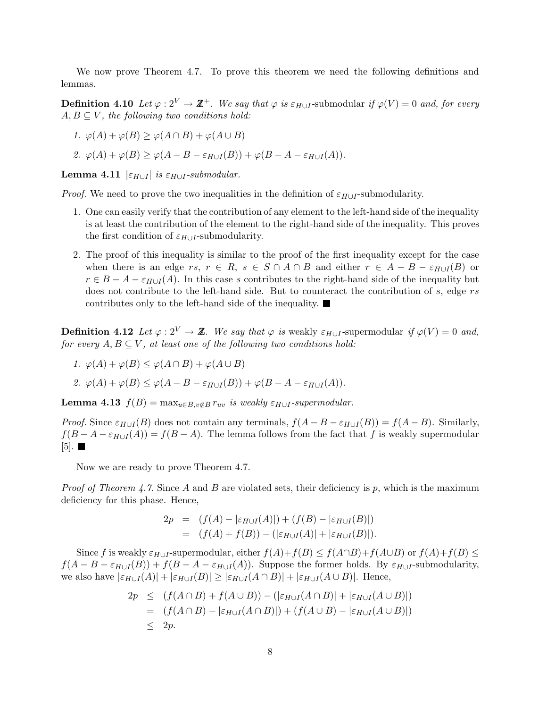We now prove Theorem 4.7. To prove this theorem we need the following definitions and lemmas.

**Definition 4.10** *Let*  $\varphi$  :  $2^V \to \mathbb{Z}^+$ *. We say that*  $\varphi$  *is*  $\varepsilon_{H \cup I}$ -submodular *if*  $\varphi(V) = 0$  *and, for every*  $A, B \subseteq V$ , the following two conditions hold:

$$
1. \ \varphi(A) + \varphi(B) \ge \varphi(A \cap B) + \varphi(A \cup B)
$$

2. 
$$
\varphi(A) + \varphi(B) \ge \varphi(A - B - \varepsilon_{H \cup I}(B)) + \varphi(B - A - \varepsilon_{H \cup I}(A)).
$$

**Lemma 4.11**  $|\varepsilon_{H \cup I}|$  *is*  $\varepsilon_{H \cup I}$ *-submodular.* 

*Proof.* We need to prove the two inequalities in the definition of  $\varepsilon_{H\cup I}$ -submodularity.

- 1. One can easily verify that the contribution of any element to the left-hand side of the inequality is at least the contribution of the element to the right-hand side of the inequality. This proves the first condition of  $\varepsilon_{H\cup I}$ -submodularity.
- 2. The proof of this inequality is similar to the proof of the first inequality except for the case when there is an edge rs,  $r \in R$ ,  $s \in S \cap A \cap B$  and either  $r \in A - B - \varepsilon_{H \cup I}(B)$  or  $r \in B - A - \varepsilon_{H \cup I}(A)$ . In this case s contributes to the right-hand side of the inequality but does not contribute to the left-hand side. But to counteract the contribution of s, edge rs contributes only to the left-hand side of the inequality.  $\blacksquare$

**Definition 4.12** *Let*  $\varphi : 2^V \to \mathbb{Z}$ *. We say that*  $\varphi$  *is* weakly  $\varepsilon_{H \cup I}$ -supermodular *if*  $\varphi(V) = 0$  *and, for every*  $A, B \subseteq V$ *, at least one of the following two conditions hold:* 

*1.*  $\varphi(A) + \varphi(B) \leq \varphi(A \cap B) + \varphi(A \cup B)$ 

2. 
$$
\varphi(A) + \varphi(B) \leq \varphi(A - B - \varepsilon_{H \cup I}(B)) + \varphi(B - A - \varepsilon_{H \cup I}(A)).
$$

**Lemma 4.13**  $f(B) = \max_{u \in B, v \notin B} r_{uv}$  *is weakly*  $\varepsilon_{H \cup I}$ -supermodular.

*Proof.* Since  $\varepsilon_{H\cup I}(B)$  does not contain any terminals,  $f(A - B - \varepsilon_{H\cup I}(B)) = f(A - B)$ . Similarly,  $f(B - A - \varepsilon_{H \cup I}(A)) = f(B - A)$ . The lemma follows from the fact that f is weakly supermodular  $[5]$ .

Now we are ready to prove Theorem 4.7.

*Proof of Theorem 4.7.* Since A and B are violated sets, their deficiency is p, which is the maximum deficiency for this phase. Hence,

$$
2p = (f(A) - |\varepsilon_{H \cup I}(A)|) + (f(B) - |\varepsilon_{H \cup I}(B)|)
$$
  
= 
$$
(f(A) + f(B)) - (|\varepsilon_{H \cup I}(A)| + |\varepsilon_{H \cup I}(B)|).
$$

Since f is weakly  $\varepsilon_{H\cup I}$ -supermodular, either  $f(A)+f(B)\leq f(A\cap B)+f(A\cup B)$  or  $f(A)+f(B)\leq$  $f(A - B - \varepsilon_{H \cup I}(B)) + f(B - A - \varepsilon_{H \cup I}(A))$ . Suppose the former holds. By  $\varepsilon_{H \cup I}$ -submodularity, we also have  $|\varepsilon_{H\cup I}(A)| + |\varepsilon_{H\cup I}(B)| \ge |\varepsilon_{H\cup I}(A \cap B)| + |\varepsilon_{H\cup I}(A \cup B)|$ . Hence,

$$
2p \leq (f(A \cap B) + f(A \cup B)) - (|\varepsilon_{H \cup I}(A \cap B)| + |\varepsilon_{H \cup I}(A \cup B)|)
$$
  
= 
$$
(f(A \cap B) - |\varepsilon_{H \cup I}(A \cap B)|) + (f(A \cup B) - |\varepsilon_{H \cup I}(A \cup B)|)
$$
  

$$
\leq 2p.
$$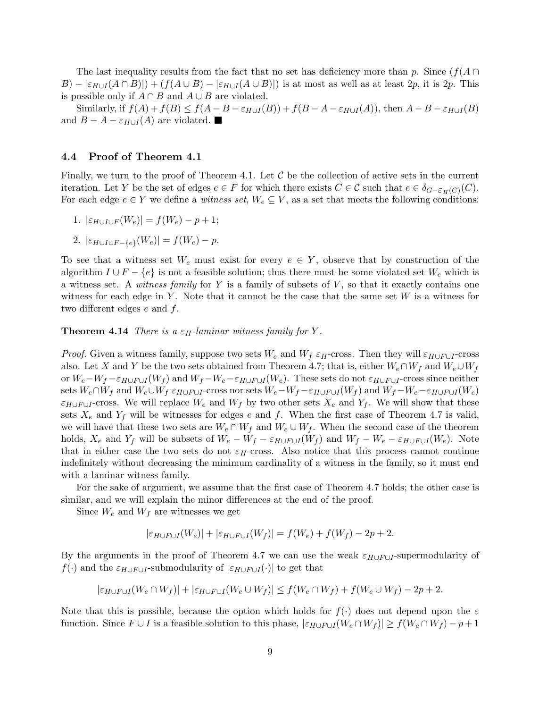The last inequality results from the fact that no set has deficiency more than p. Since  $(f(A \cap$  $(B) - |\varepsilon_{H \cup I}(A \cap B)| + (f(A \cup B) - |\varepsilon_{H \cup I}(A \cup B)|)$  is at most as well as at least 2p, it is 2p. This is possible only if  $A \cap B$  and  $A \cup B$  are violated.

Similarly, if  $f(A) + f(B) \leq f(A - B - \varepsilon_{H \cup I}(B)) + f(B - A - \varepsilon_{H \cup I}(A))$ , then  $A - B - \varepsilon_{H \cup I}(B)$ and  $B - A - \varepsilon_{H \cup I}(A)$  are violated.

### **4.4 Proof of Theorem 4.1**

Finally, we turn to the proof of Theorem 4.1. Let  $\mathcal C$  be the collection of active sets in the current iteration. Let Y be the set of edges  $e \in F$  for which there exists  $C \in \mathcal{C}$  such that  $e \in \delta_{G-\varepsilon_H(C)}(C)$ . For each edge  $e \in Y$  we define a *witness set*,  $W_e \subseteq V$ , as a set that meets the following conditions:

1. 
$$
|\varepsilon_{H \cup I \cup F}(W_e)| = f(W_e) - p + 1;
$$

2. 
$$
|\varepsilon_{H \cup I \cup F - \{e\}}(W_e)| = f(W_e) - p.
$$

To see that a witness set  $W_e$  must exist for every  $e \in Y$ , observe that by construction of the algorithm  $I \cup F - \{e\}$  is not a feasible solution; thus there must be some violated set  $W_e$  which is a witness set. A *witness family* for Y is a family of subsets of V , so that it exactly contains one witness for each edge in Y. Note that it cannot be the case that the same set  $W$  is a witness for two different edges  $e$  and  $f$ .

**Theorem 4.14** *There is a*  $\varepsilon_H$ *-laminar witness family for* Y.

*Proof.* Given a witness family, suppose two sets  $W_e$  and  $W_f \varepsilon_H$ -cross. Then they will  $\varepsilon_{H\cup F\cup I}$ -cross also. Let X and Y be the two sets obtained from Theorem 4.7; that is, either  $W_e \cap W_f$  and  $W_e \cup W_f$ or  $W_e-W_f-\varepsilon_{H\cup F\cup I}(W_f)$  and  $W_f-W_e-\varepsilon_{H\cup F\cup I}(W_e)$ . These sets do not  $\varepsilon_{H\cup F\cup I}$ -cross since neither sets  $W_e \cap W_f$  and  $W_e \cup W_f \varepsilon_{H \cup F \cup I}$ -cross nor sets  $W_e - W_f - \varepsilon_{H \cup F \cup I}(W_f)$  and  $W_f - W_e - \varepsilon_{H \cup F \cup I}(W_e)$  $\varepsilon_{H\cup F\cup I}$ -cross. We will replace  $W_e$  and  $W_f$  by two other sets  $X_e$  and  $Y_f$ . We will show that these sets  $X_e$  and  $Y_f$  will be witnesses for edges e and f. When the first case of Theorem 4.7 is valid, we will have that these two sets are  $W_e \cap W_f$  and  $W_e \cup W_f$ . When the second case of the theorem holds,  $X_e$  and  $Y_f$  will be subsets of  $W_e - W_f - \varepsilon_{H\cup F\cup I}(W_f)$  and  $W_f - W_e - \varepsilon_{H\cup F\cup I}(W_e)$ . Note that in either case the two sets do not  $\varepsilon_H$ -cross. Also notice that this process cannot continue indefinitely without decreasing the minimum cardinality of a witness in the family, so it must end with a laminar witness family.

For the sake of argument, we assume that the first case of Theorem 4.7 holds; the other case is similar, and we will explain the minor differences at the end of the proof.

Since  $W_e$  and  $W_f$  are witnesses we get

$$
|\varepsilon_{H\cup F\cup I}(W_e)| + |\varepsilon_{H\cup F\cup I}(W_f)| = f(W_e) + f(W_f) - 2p + 2.
$$

By the arguments in the proof of Theorem 4.7 we can use the weak  $\varepsilon_{H\cup F\cup I}$ -supermodularity of  $f(\cdot)$  and the  $\varepsilon_{H\cup F\cup I}$ -submodularity of  $|\varepsilon_{H\cup F\cup I}(\cdot)|$  to get that

$$
|\varepsilon_{H\cup F\cup I}(W_e\cap W_f)|+|\varepsilon_{H\cup F\cup I}(W_e\cup W_f)|\leq f(W_e\cap W_f)+f(W_e\cup W_f)-2p+2.
$$

Note that this is possible, because the option which holds for  $f(\cdot)$  does not depend upon the  $\varepsilon$ function. Since  $F \cup I$  is a feasible solution to this phase,  $|\varepsilon_{H \cup F \cup I}(W_e \cap W_f)| \ge f(W_e \cap W_f) - p + 1$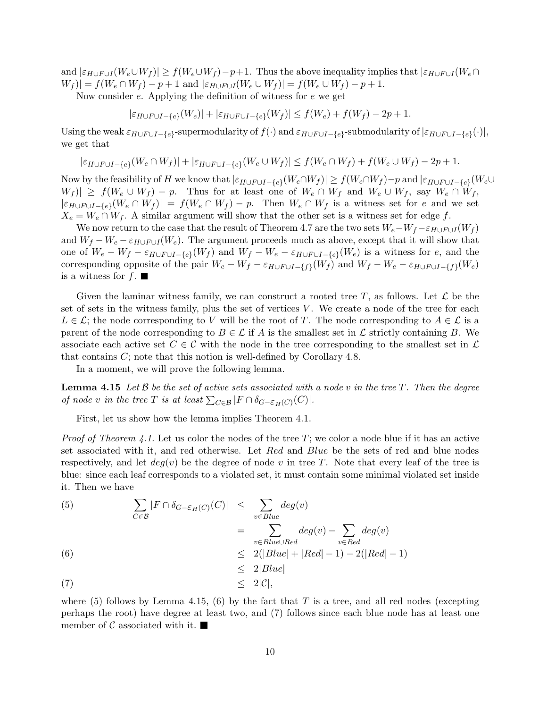and  $|\varepsilon_{H\cup F\cup I}(W_e\cup W_f)| \ge f(W_e\cup W_f) - p+1$ . Thus the above inequality implies that  $|\varepsilon_{H\cup F\cup I}(W_e\cap W_f)| \ge f(W_e\cap W_f)$  $|W_f| = f(W_e \cap W_f) - p + 1$  and  $|\varepsilon_{H \cup F \cup I}(W_e \cup W_f)| = f(W_e \cup W_f) - p + 1$ .

Now consider  $e$ . Applying the definition of witness for  $e$  we get

$$
|\varepsilon_{H\cup F\cup I-\{e\}}(W_e)|+|\varepsilon_{H\cup F\cup I-\{e\}}(W_f)|\leq f(W_e)+f(W_f)-2p+1.
$$

Using the weak  $\varepsilon_{H\cup F\cup I-\{e\}}$ -supermodularity of  $f(\cdot)$  and  $\varepsilon_{H\cup F\cup I-\{e\}}$ -submodularity of  $|\varepsilon_{H\cup F\cup I-\{e\}}(\cdot)|$ , we get that

$$
|\varepsilon_{H\cup F\cup I-\{e\}}(W_e\cap W_f)|+|\varepsilon_{H\cup F\cup I-\{e\}}(W_e\cup W_f)|\leq f(W_e\cap W_f)+f(W_e\cup W_f)-2p+1.
$$

Now by the feasibility of H we know that  $|\varepsilon_{H\cup F\cup I-\{e\}}(W_e\cap W_f)| \ge f(W_e\cap W_f) - p$  and  $|\varepsilon_{H\cup F\cup I-\{e\}}(W_e\cup W_f)|$  $|W_f| \ge f(W_e \cup W_f) - p.$  Thus for at least one of  $W_e \cap W_f$  and  $W_e \cup W_f$ , say  $W_e \cap W_f$ ,  $|\varepsilon_{H\cup F\cup I-\{e\}}(W_e \cap W_f)| = f(W_e \cap W_f) - p$ . Then  $W_e \cap W_f$  is a witness set for e and we set  $X_e = W_e \cap W_f$ . A similar argument will show that the other set is a witness set for edge f.

We now return to the case that the result of Theorem 4.7 are the two sets  $W_e-W_f-\varepsilon_{H\cup F\cup I}(W_f)$ and  $W_f - W_e - \varepsilon_{H\cup F\cup I}(W_e)$ . The argument proceeds much as above, except that it will show that one of  $W_e - W_f - \varepsilon_{H\cup F\cup I-\{e\}}(W_f)$  and  $W_f - W_e - \varepsilon_{H\cup F\cup I-\{e\}}(W_e)$  is a witness for e, and the corresponding opposite of the pair  $W_e - W_f - \varepsilon_{H\cup F\cup I-\{f\}}(W_f)$  and  $W_f - W_e - \varepsilon_{H\cup F\cup I-\{f\}}(W_e)$ is a witness for  $f$ .

Given the laminar witness family, we can construct a rooted tree T, as follows. Let  $\mathcal L$  be the set of sets in the witness family, plus the set of vertices  $V$ . We create a node of the tree for each  $L \in \mathcal{L}$ ; the node corresponding to V will be the root of T. The node corresponding to  $A \in \mathcal{L}$  is a parent of the node corresponding to  $B \in \mathcal{L}$  if A is the smallest set in  $\mathcal{L}$  strictly containing B. We associate each active set  $C \in \mathcal{C}$  with the node in the tree corresponding to the smallest set in  $\mathcal{L}$ that contains C; note that this notion is well-defined by Corollary 4.8.

In a moment, we will prove the following lemma.

**Lemma 4.15** *Let* B *be the set of active sets associated with a node* v *in the tree* T*. Then the degree of node v in the tree T is at least*  $\sum_{C \in \mathcal{B}} |F \cap \delta_{G-\epsilon_H(C)}(C)|$ .

First, let us show how the lemma implies Theorem 4.1.

*Proof of Theorem 4.1.* Let us color the nodes of the tree T; we color a node blue if it has an active set associated with it, and red otherwise. Let Red and Blue be the sets of red and blue nodes respectively, and let  $deg(v)$  be the degree of node v in tree T. Note that every leaf of the tree is blue: since each leaf corresponds to a violated set, it must contain some minimal violated set inside it. Then we have

(5) 
$$
\sum_{C \in \mathcal{B}} |F \cap \delta_{G - \varepsilon_H(C)}(C)| \leq \sum_{v \in Blue} deg(v)
$$

$$
= \sum_{v \in Blue \cup Red} deg(v) - \sum_{v \in Red} deg(v)
$$

$$
\leq 2(|Blue| + |Red| - 1) - 2(|Red| - 1)
$$

$$
\leq 2|Blue|
$$

$$
\leq 2|C|,
$$

where (5) follows by Lemma 4.15, (6) by the fact that T is a tree, and all red nodes (excepting perhaps the root) have degree at least two, and (7) follows since each blue node has at least one member of  $\mathcal C$  associated with it.  $\blacksquare$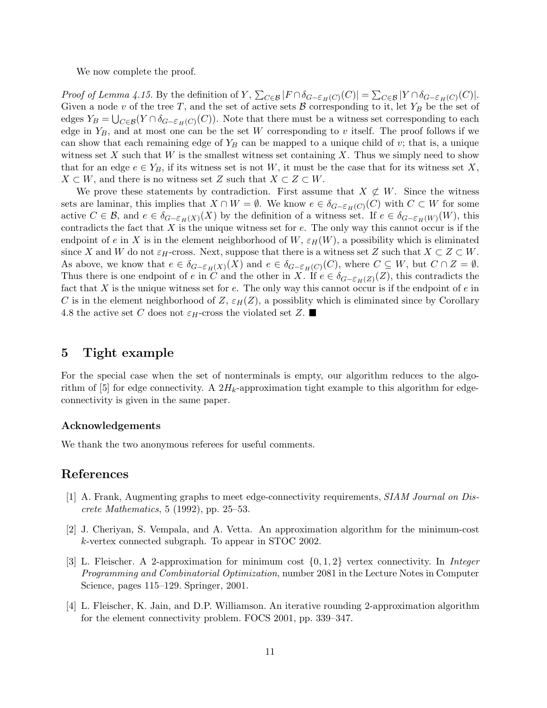We now complete the proof.

*Proof of Lemma 4.15.* By the definition of  $Y$ ,  $\sum_{C \in \mathcal{B}} |F \cap \delta_{G-\varepsilon_H(C)}(C)| = \sum_{C \in \mathcal{B}} |Y \cap \delta_{G-\varepsilon_H(C)}(C)|$ . Given a node v of the tree T, and the set of active sets  $\beta$  corresponding to it, let  $Y_B$  be the set of edges  $Y_B = \bigcup_{C \in \mathcal{B}} (Y \cap \delta_{G-\mathcal{E}_H(C)}(C))$ . Note that there must be a witness set corresponding to each edge in  $Y_B$ , and at most one can be the set W corresponding to v itself. The proof follows if we can show that each remaining edge of  $Y_B$  can be mapped to a unique child of v; that is, a unique witness set X such that W is the smallest witness set containing X. Thus we simply need to show that for an edge  $e \in Y_B$ , if its witness set is not W, it must be the case that for its witness set X,  $X \subset W$ , and there is no witness set Z such that  $X \subset Z \subset W$ .

We prove these statements by contradiction. First assume that  $X \not\subset W$ . Since the witness sets are laminar, this implies that  $X \cap W = \emptyset$ . We know  $e \in \delta_{G-\varepsilon_H(C)}(C)$  with  $C \subset W$  for some active  $C \in \mathcal{B}$ , and  $e \in \delta_{G-\varepsilon_H(X)}(X)$  by the definition of a witness set. If  $e \in \delta_{G-\varepsilon_H(W)}(W)$ , this contradicts the fact that  $X$  is the unique witness set for  $e$ . The only way this cannot occur is if the endpoint of e in X is in the element neighborhood of  $W$ ,  $\varepsilon_H(W)$ , a possibility which is eliminated since X and W do not  $\varepsilon_H$ -cross. Next, suppose that there is a witness set Z such that  $X \subset Z \subset W$ . As above, we know that  $e \in \delta_{G-\varepsilon_H(X)}(X)$  and  $e \in \delta_{G-\varepsilon_H(C)}(C)$ , where  $C \subseteq W$ , but  $C \cap Z = \emptyset$ . Thus there is one endpoint of e in C and the other in X. If  $e \in \delta_{G-\epsilon_H(Z)}(Z)$ , this contradicts the fact that  $X$  is the unique witness set for  $e$ . The only way this cannot occur is if the endpoint of  $e$  in C is in the element neighborhood of Z,  $\varepsilon_H(Z)$ , a possiblity which is eliminated since by Corollary 4.8 the active set C does not  $\varepsilon_H$ -cross the violated set Z.

## **5 Tight example**

For the special case when the set of nonterminals is empty, our algorithm reduces to the algorithm of [5] for edge connectivity. A  $2H_k$ -approximation tight example to this algorithm for edgeconnectivity is given in the same paper.

#### **Acknowledgements**

We thank the two anonymous referees for useful comments.

#### **References**

- [1] A. Frank, Augmenting graphs to meet edge-connectivity requirements, *SIAM Journal on Discrete Mathematics*, 5 (1992), pp. 25–53.
- [2] J. Cheriyan, S. Vempala, and A. Vetta. An approximation algorithm for the minimum-cost k-vertex connected subgraph. To appear in STOC 2002.
- [3] L. Fleischer. A 2-approximation for minimum cost {0, 1, 2} vertex connectivity. In *Integer Programming and Combinatorial Optimization*, number 2081 in the Lecture Notes in Computer Science, pages 115–129. Springer, 2001.
- [4] L. Fleischer, K. Jain, and D.P. Williamson. An iterative rounding 2-approximation algorithm for the element connectivity problem. FOCS 2001, pp. 339–347.